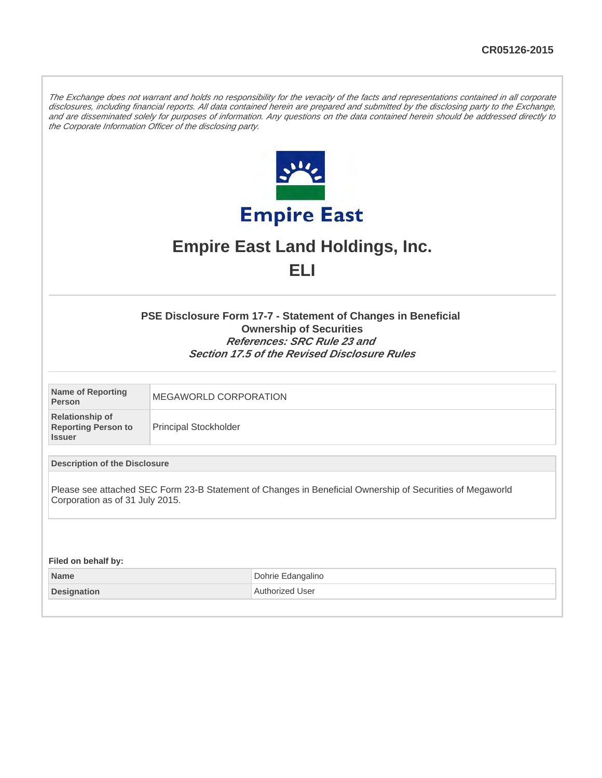The Exchange does not warrant and holds no responsibility for the veracity of the facts and representations contained in all corporate disclosures, including financial reports. All data contained herein are prepared and submitted by the disclosing party to the Exchange, and are disseminated solely for purposes of information. Any questions on the data contained herein should be addressed directly to the Corporate Information Officer of the disclosing party.



# **Empire East Land Holdings, Inc. ELI**

# **PSE Disclosure Form 17-7 - Statement of Changes in Beneficial Ownership of Securities References: SRC Rule 23 and Section 17.5 of the Revised Disclosure Rules**

| Name of Reporting<br>Person                                           | MEGAWORLD CORPORATION        |
|-----------------------------------------------------------------------|------------------------------|
| <b>Relationship of</b><br><b>Reporting Person to</b><br><b>Issuer</b> | <b>Principal Stockholder</b> |

# **Description of the Disclosure**

Please see attached SEC Form 23-B Statement of Changes in Beneficial Ownership of Securities of Megaworld Corporation as of 31 July 2015.

**Filed on behalf by:**

| <b>Name</b>        | Dohrie Edangalino |
|--------------------|-------------------|
| <b>Designation</b> | Authorized User   |
|                    |                   |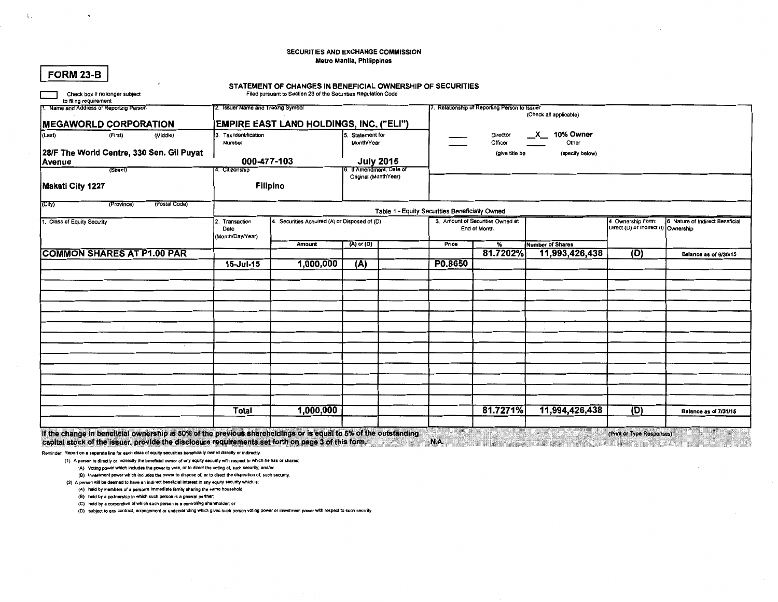### SECURITIES AND EXCHANGE COMMISSION Metro Manila, Philippines

| <b>IMEGAWORLD CORPORATION</b><br>(Last)<br>(First)<br>(Middle)<br>28/F The World Centre, 330 Sen. Gil Puyat<br>Avenue | 3. Tax Identification<br>Number<br>000-477-103 | <b>EMPIRE EAST LAND HOLDINGS, INC. ("ELI")</b> | Statement for<br>Month/Year                                   |  |                                                                                       | . Relationship of Reporting Person to Issuer<br>Director<br>Officer<br>(give title be | (Check all applicable)<br>10% Owner<br>$\mathbf{x}$<br>Other<br>(specify below) |                                                           |                                  |  |  |
|-----------------------------------------------------------------------------------------------------------------------|------------------------------------------------|------------------------------------------------|---------------------------------------------------------------|--|---------------------------------------------------------------------------------------|---------------------------------------------------------------------------------------|---------------------------------------------------------------------------------|-----------------------------------------------------------|----------------------------------|--|--|
| (Street)                                                                                                              | 4. Citizenship                                 |                                                | July 2015<br>6. If Amendment, Date of<br>Original (MonthYear) |  |                                                                                       |                                                                                       |                                                                                 |                                                           |                                  |  |  |
| Makati City 1227                                                                                                      | Filipino                                       |                                                |                                                               |  |                                                                                       |                                                                                       |                                                                                 |                                                           |                                  |  |  |
| (Postal Code)<br>(City)<br>(Province)                                                                                 | Table 1 - Equity Securities Beneficially Owned |                                                |                                                               |  |                                                                                       |                                                                                       |                                                                                 |                                                           |                                  |  |  |
| 1. Class of Equity Security                                                                                           | 2. Transaction<br>Date<br>(Month/Day/Year)     | 4. Securities Acquired (A) or Disposed of (D)  | $(A)$ or $(D)$                                                |  | 3. Amount of Securities Owned at<br>End of Month<br>Price<br>$\overline{\mathcal{H}}$ |                                                                                       |                                                                                 | 4 Ownership Form:<br>Direct (D) or indirect (I) Ownership | 6. Nature of Indirect Beneficial |  |  |
|                                                                                                                       |                                                | Amount                                         |                                                               |  |                                                                                       |                                                                                       | <b>Number of Shares</b>                                                         |                                                           |                                  |  |  |
| <b>COMMON SHARES AT P1.00 PAR</b>                                                                                     |                                                |                                                |                                                               |  |                                                                                       | 81.7202%                                                                              | 11,993,426,438                                                                  | (D)                                                       | Balance as of 6/30/15            |  |  |
|                                                                                                                       | 15-Jul-15                                      | 1,000,000                                      | (A)                                                           |  | P0.8650                                                                               |                                                                                       |                                                                                 |                                                           |                                  |  |  |
|                                                                                                                       |                                                |                                                |                                                               |  |                                                                                       |                                                                                       |                                                                                 |                                                           |                                  |  |  |
|                                                                                                                       |                                                |                                                |                                                               |  |                                                                                       |                                                                                       |                                                                                 |                                                           |                                  |  |  |
|                                                                                                                       |                                                |                                                |                                                               |  |                                                                                       |                                                                                       |                                                                                 |                                                           |                                  |  |  |
|                                                                                                                       |                                                |                                                |                                                               |  |                                                                                       |                                                                                       |                                                                                 |                                                           |                                  |  |  |
|                                                                                                                       |                                                |                                                |                                                               |  |                                                                                       |                                                                                       |                                                                                 |                                                           |                                  |  |  |
|                                                                                                                       |                                                |                                                |                                                               |  |                                                                                       |                                                                                       |                                                                                 |                                                           |                                  |  |  |
|                                                                                                                       |                                                |                                                |                                                               |  |                                                                                       |                                                                                       |                                                                                 |                                                           |                                  |  |  |
|                                                                                                                       |                                                |                                                |                                                               |  |                                                                                       |                                                                                       |                                                                                 |                                                           |                                  |  |  |
|                                                                                                                       |                                                |                                                |                                                               |  |                                                                                       |                                                                                       |                                                                                 |                                                           |                                  |  |  |
|                                                                                                                       |                                                |                                                |                                                               |  |                                                                                       |                                                                                       |                                                                                 |                                                           |                                  |  |  |
|                                                                                                                       |                                                |                                                |                                                               |  |                                                                                       |                                                                                       |                                                                                 |                                                           |                                  |  |  |
|                                                                                                                       |                                                |                                                |                                                               |  |                                                                                       |                                                                                       |                                                                                 |                                                           |                                  |  |  |
|                                                                                                                       |                                                |                                                |                                                               |  |                                                                                       |                                                                                       |                                                                                 | The Contract                                              |                                  |  |  |
|                                                                                                                       | <b>Total</b>                                   | 1,000,000                                      |                                                               |  |                                                                                       | 81.7271%                                                                              | 11,994,426,438                                                                  | (D)                                                       | <b>Balance as of 7/31/15</b>     |  |  |
| If the change in beneficial ownership is 50% of the previous shareholdings or is equal to 5% of the outstanding       |                                                |                                                |                                                               |  |                                                                                       |                                                                                       | ÷.                                                                              | (Print or Type Responses)                                 |                                  |  |  |

capital stock of the issuer, provide the disclosure requirements set forth on page 3 of this form. N.A. N.A. N.A. W.A. The contract of the issuer, provide the disclosure requirements set forth on page 3 of this form.

Reminder: Report on a separate line for each class of equity securities beneficially owned directly or indirectly.

(1) A person is directly or indirectly the beneficial owner of any equity security with respect to which he has or shares:

(A) Voting power which includes the power to vote, or to direct the voting of, such security; and/or

(8) Investment power which includes the power to dispose of, or to direct the disposition of, such security.

(2) A person will be deemed to have an indirect beneficial interest in any equity security which is:

(A) held by members of a person's immediate family sharing the same household;

(B) held by a partnership in which such person is a general partner;

(C) held by a corporation of which such person is a controlling shareholder; or

(D) subject to eny contract, arrangement or understanding which gives such person voting power or investment power with respect to such security.

FORM 23-B

 $\ddot{\phantom{0}}$ 

 $\Lambda$  .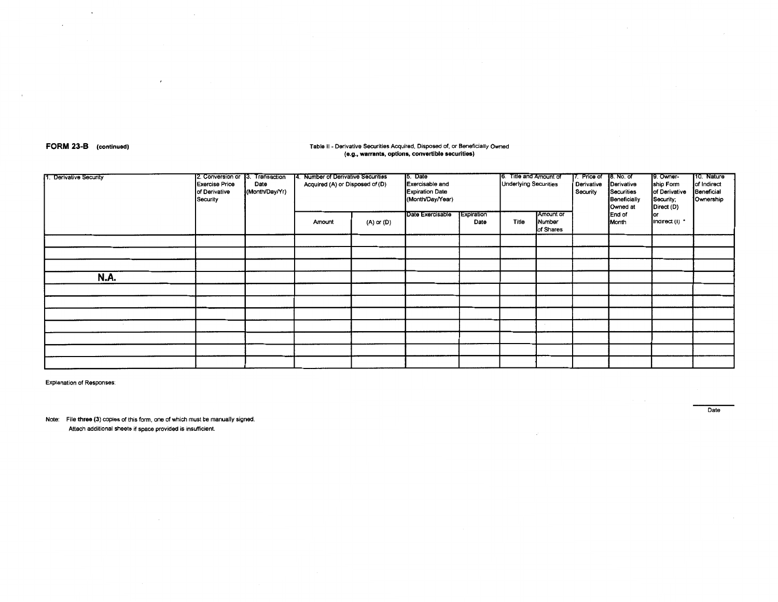FORM 23-B (continued)

 $\ddot{\phantom{0}}$ 

 $\bar{z}$ 

### Table II - Derivative Securities Acquired, Disposed of, or Beneficially Owned (e.g., warrants, options, convertible securities)

| 1. Derivative Security | 2. Conversion or 13.<br><b>Exercise Price</b><br>of Derivative<br>Security | Transaction<br>Date<br>(Month/Day/Yr) | 14. Number of Derivative Securities<br>Acquired (A) or Disposed of (D) |            | 15. Date<br>Exercisable and<br><b>Expiration Date</b><br>(Month/Day/Year) |                    | 6. Title and Amount of<br><b>Underlying Securities</b> |                                  | 17. Price of<br>Derivative<br>Security | 18. No. of<br>Derivative<br>Securities<br>Beneficially<br>Owned at | 9. Owner-<br>ship Form<br>of Derivative<br>Security;<br>Direct (D) | 10. Nature<br>of Indirect<br>Beneficial<br>Ownership |
|------------------------|----------------------------------------------------------------------------|---------------------------------------|------------------------------------------------------------------------|------------|---------------------------------------------------------------------------|--------------------|--------------------------------------------------------|----------------------------------|----------------------------------------|--------------------------------------------------------------------|--------------------------------------------------------------------|------------------------------------------------------|
|                        |                                                                            |                                       | Amount                                                                 | (A) or (D) | Date Exercisable                                                          | Expiration<br>Date | Title                                                  | Amount or<br>Number<br>of Shares |                                        | End of<br>Month                                                    | or<br>indirect (I) *                                               |                                                      |
|                        |                                                                            |                                       |                                                                        |            |                                                                           |                    |                                                        |                                  |                                        |                                                                    |                                                                    |                                                      |
|                        |                                                                            |                                       |                                                                        |            |                                                                           |                    |                                                        |                                  |                                        |                                                                    |                                                                    |                                                      |
|                        |                                                                            |                                       |                                                                        |            |                                                                           |                    |                                                        |                                  |                                        |                                                                    |                                                                    |                                                      |
| N.A.                   |                                                                            |                                       |                                                                        |            |                                                                           |                    |                                                        |                                  |                                        |                                                                    |                                                                    |                                                      |
|                        |                                                                            |                                       |                                                                        |            |                                                                           |                    |                                                        |                                  |                                        |                                                                    |                                                                    |                                                      |
|                        |                                                                            |                                       |                                                                        |            |                                                                           |                    |                                                        |                                  |                                        |                                                                    |                                                                    |                                                      |
|                        |                                                                            |                                       |                                                                        |            |                                                                           |                    |                                                        |                                  |                                        |                                                                    |                                                                    |                                                      |
|                        |                                                                            |                                       |                                                                        |            |                                                                           |                    |                                                        |                                  |                                        |                                                                    |                                                                    |                                                      |
|                        |                                                                            |                                       |                                                                        |            |                                                                           |                    |                                                        |                                  |                                        |                                                                    |                                                                    |                                                      |
|                        |                                                                            |                                       |                                                                        |            |                                                                           |                    |                                                        |                                  |                                        |                                                                    |                                                                    |                                                      |
|                        |                                                                            |                                       |                                                                        |            |                                                                           |                    |                                                        |                                  |                                        |                                                                    |                                                                    |                                                      |

**Explanation of Responses:** 

Note: File three (3) copies of this form, one of which must be manually signed. Attach additional sheets if space provided is insufficient.

 $\epsilon$ 

Date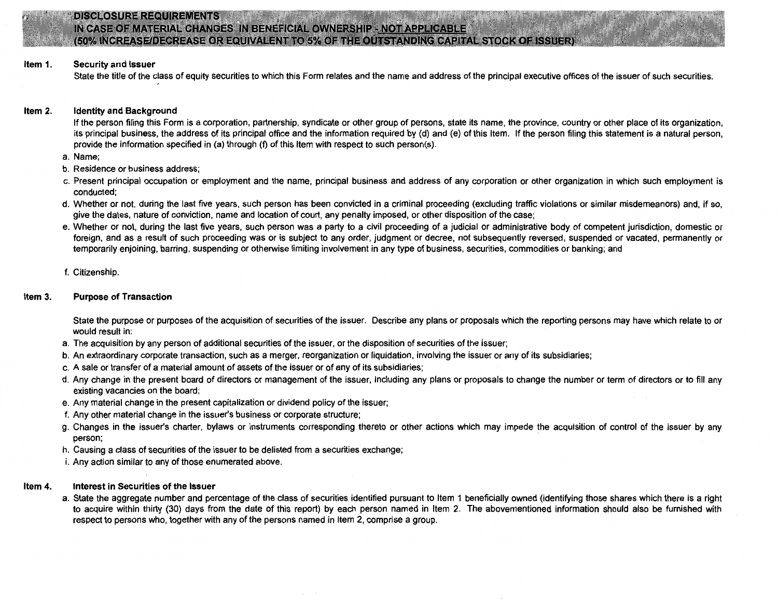

# **DISCLOSURE REQUIREMENTS** IN CASE OF MATERIAL CHANGES IN BENEFICIAL OWNERSHIP - NOT APPLICABLE (50% INCREASE/DECREASE OR EQUIVALENT TO 5% OF THE OUTSTANDING CAPITAL STOCK OF ISSUER)

#### Item 1. Security and Issuer

State the title of the class of equity securities to which this Form relates and the name and address of the principal executive offices of the issuer of such securities.

#### Item 2. Identity and Background

If the person filing this Form is a corporation, partnership, syndicate or other group of persons, state its name, the province, country or other place of its organization, its principal business, the address of its principal office and the information required by (d) and (e) of this Item. If the person filing this statement is a natural person, provide the information specified in (a) through (f) of this Item with respect to such person(s).

- a. Name;
- b. Residence or business address;
- c. Present principal occupation or employment and the name, principal business and address of any corporation or other organization in which such employment is conducted;
- d. Whether or not, during the last five years, such person has been convicted in a criminal proceeding (excluding traffic violations or similar misdemeanors) and, if so, give the dates, nature of conviction, name and location of court, any penalty imposed, or other disposition of the case;
- e. Whether or not, during the last five years, such person was a party to a civil proceeding of a judicial or administrative body of competent jurisdiction, domestic or foreign, and as a result of such proceeding was or is subject to any order, judgment or decree, not subsequently reversed, suspended or vacated, permanently or temporarily enjoining, barring, suspending or otherwise limiting involvement in any type of business, securities, commodities or banking; and
- f. Citizenship.

#### Item 3. Purpose of Transaction

State the purpose or purposes of the acquisition of securities of the issuer. Describe any plans or proposals which the reporting persons may have which relate to or would result in:

- a. The acquisition by any person of additional securities of the issuer, or the disposition of securities of the issuer;
- b. An extraordinary corporate transaction, such as a merger, reorganization or liquidation, involving the issuer or any of its subsidiaries;
- c. A sale or transfer of a material amount of assets of the issuer or of any of its subsidiaries;
- d. Any change in the present board of directors or management of the issuer, including any plans or proposals to change the number or term of directors or to fill any existing vacancies on the board;
- e. Any material change in the present capitalization or dividend policy of the issuer;
- f. Any other material change in the issuer's business or corporate structure;
- g. Changes in the issuer's charter, bylaws or instruments corresponding thereto or other actions which may impede the acquisition of control of the issuer by any person;
- h. Causing a class of securities of the issuer to be delisted from a securities exchange;
- i. Any action similar to any of those enumerated above.

#### ltem 4. Interest in Securities of the Issuer

a. State the aggregate number and percentage of the class of securities identified pursuant to Item 1 beneficially owned (identifying those shares which there is a right to acquire within thirty (30) days from the date of this report) by each person named in Item 2. The abovementioned information should also be furnished with respect to persons who, together with any of the persons named in Item 2, comprise a group.